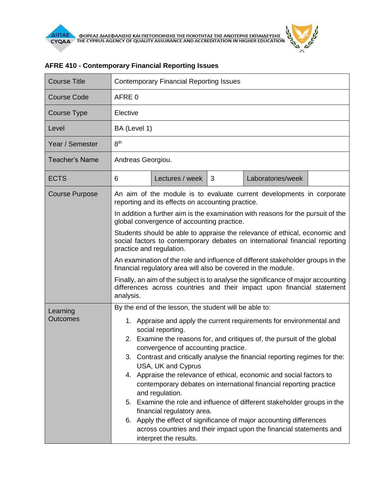$\theta$ 

| <b>Course Title</b>   | <b>Contemporary Financial Reporting Issues</b>                                                                                                                                        |                 |   |                   |  |  |  |
|-----------------------|---------------------------------------------------------------------------------------------------------------------------------------------------------------------------------------|-----------------|---|-------------------|--|--|--|
| <b>Course Code</b>    | AFRE 0                                                                                                                                                                                |                 |   |                   |  |  |  |
| Course Type           | Elective                                                                                                                                                                              |                 |   |                   |  |  |  |
| Level                 | BA (Level 1)                                                                                                                                                                          |                 |   |                   |  |  |  |
| Year / Semester       | 8 <sup>th</sup>                                                                                                                                                                       |                 |   |                   |  |  |  |
| <b>Teacher's Name</b> | Andreas Georgiou.                                                                                                                                                                     |                 |   |                   |  |  |  |
| <b>ECTS</b>           | 6                                                                                                                                                                                     | Lectures / week | 3 | Laboratories/week |  |  |  |
| <b>Course Purpose</b> | An aim of the module is to evaluate current developments in corporate<br>reporting and its effects on accounting practice.                                                            |                 |   |                   |  |  |  |
|                       | In addition a further aim is the examination with reasons for the pursuit of the<br>global convergence of accounting practice.                                                        |                 |   |                   |  |  |  |
|                       | Students should be able to appraise the relevance of ethical, economic and<br>social factors to contemporary debates on international financial reporting<br>practice and regulation. |                 |   |                   |  |  |  |
|                       | An examination of the role and influence of different stakeholder groups in the<br>financial regulatory area will also be covered in the module.                                      |                 |   |                   |  |  |  |
|                       | Finally, an aim of the subject is to analyse the significance of major accounting<br>differences across countries and their impact upon financial statement<br>analysis.              |                 |   |                   |  |  |  |
| Learning              | By the end of the lesson, the student will be able to:                                                                                                                                |                 |   |                   |  |  |  |
| <b>Outcomes</b>       | 1. Appraise and apply the current requirements for environmental and<br>social reporting.                                                                                             |                 |   |                   |  |  |  |
|                       | 2. Examine the reasons for, and critiques of, the pursuit of the global<br>convergence of accounting practice.                                                                        |                 |   |                   |  |  |  |
|                       | 3. Contrast and critically analyse the financial reporting regimes for the:<br>USA, UK and Cyprus                                                                                     |                 |   |                   |  |  |  |
|                       | 4. Appraise the relevance of ethical, economic and social factors to<br>contemporary debates on international financial reporting practice<br>and regulation.                         |                 |   |                   |  |  |  |
|                       | 5. Examine the role and influence of different stakeholder groups in the<br>financial regulatory area.                                                                                |                 |   |                   |  |  |  |
|                       | 6. Apply the effect of significance of major accounting differences<br>across countries and their impact upon the financial statements and<br>interpret the results.                  |                 |   |                   |  |  |  |

## **AFRE 410 - Contemporary Financial Reporting Issues**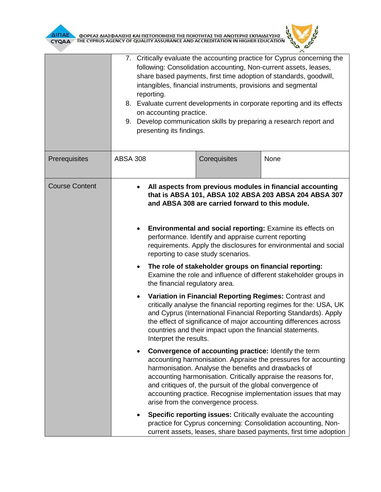

| ΔΙΠΑΕ<br>CYQAA        | ΦΟΡΕΑΣ ΔΙΑΣΦΑΛΙΣΗΣ ΚΑΙ ΠΙΣΤΟΠΟΙΗΣΗΣ ΤΗΣ ΠΟΙΟΤΗΤΑΣ ΤΗΣ ΑΝΩΤΕΡΗΣ ΕΚΠΑΙΔΕΥΣΗΣ<br>ΤΗΕ CYPRUS AGENCY OF QUALITY ASSURANCE AND ACCREDITATION IN HIGHER EDUCATIO                                                                                                                                                                                                                                                                |                                                                                                                                                                                                                                                                                                                                                                                                                                                                                                                                                                                                                                                                                                                                                                                                                                                                                                                                                |      |  |  |  |  |
|-----------------------|--------------------------------------------------------------------------------------------------------------------------------------------------------------------------------------------------------------------------------------------------------------------------------------------------------------------------------------------------------------------------------------------------------------------------|------------------------------------------------------------------------------------------------------------------------------------------------------------------------------------------------------------------------------------------------------------------------------------------------------------------------------------------------------------------------------------------------------------------------------------------------------------------------------------------------------------------------------------------------------------------------------------------------------------------------------------------------------------------------------------------------------------------------------------------------------------------------------------------------------------------------------------------------------------------------------------------------------------------------------------------------|------|--|--|--|--|
|                       | reporting.                                                                                                                                                                                                                                                                                                                                                                                                               | 7. Critically evaluate the accounting practice for Cyprus concerning the<br>following: Consolidation accounting, Non-current assets, leases,<br>share based payments, first time adoption of standards, goodwill,<br>intangibles, financial instruments, provisions and segmental<br>8. Evaluate current developments in corporate reporting and its effects<br>on accounting practice.<br>9. Develop communication skills by preparing a research report and<br>presenting its findings.                                                                                                                                                                                                                                                                                                                                                                                                                                                      |      |  |  |  |  |
| Prerequisites         | <b>ABSA 308</b>                                                                                                                                                                                                                                                                                                                                                                                                          | Corequisites                                                                                                                                                                                                                                                                                                                                                                                                                                                                                                                                                                                                                                                                                                                                                                                                                                                                                                                                   | None |  |  |  |  |
| <b>Course Content</b> |                                                                                                                                                                                                                                                                                                                                                                                                                          | All aspects from previous modules in financial accounting<br>that is ABSA 101, ABSA 102 ABSA 203 ABSA 204 ABSA 307<br>and ABSA 308 are carried forward to this module.<br><b>Environmental and social reporting:</b> Examine its effects on<br>performance. Identify and appraise current reporting<br>requirements. Apply the disclosures for environmental and social<br>reporting to case study scenarios.<br>The role of stakeholder groups on financial reporting:<br>Examine the role and influence of different stakeholder groups in<br>the financial regulatory area.<br>Variation in Financial Reporting Regimes: Contrast and<br>critically analyse the financial reporting regimes for the: USA, UK<br>and Cyprus (International Financial Reporting Standards). Apply<br>the effect of significance of major accounting differences across<br>countries and their impact upon the financial statements.<br>Interpret the results. |      |  |  |  |  |
|                       | Convergence of accounting practice: Identify the term<br>accounting harmonisation. Appraise the pressures for accounting<br>harmonisation. Analyse the benefits and drawbacks of<br>accounting harmonisation. Critically appraise the reasons for,<br>and critiques of, the pursuit of the global convergence of<br>accounting practice. Recognise implementation issues that may<br>arise from the convergence process. |                                                                                                                                                                                                                                                                                                                                                                                                                                                                                                                                                                                                                                                                                                                                                                                                                                                                                                                                                |      |  |  |  |  |
|                       |                                                                                                                                                                                                                                                                                                                                                                                                                          | <b>Specific reporting issues:</b> Critically evaluate the accounting<br>practice for Cyprus concerning: Consolidation accounting, Non-<br>current assets, leases, share based payments, first time adoption                                                                                                                                                                                                                                                                                                                                                                                                                                                                                                                                                                                                                                                                                                                                    |      |  |  |  |  |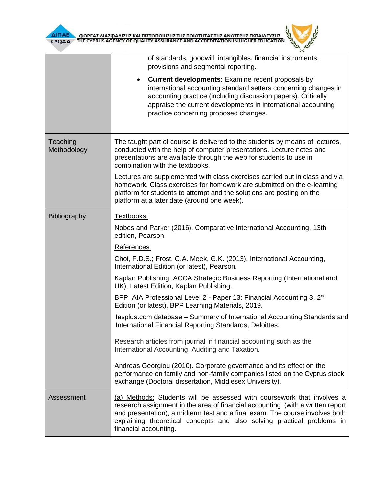

| ΙΗΣΗΣ ΤΗΣ ΠΟΙΟΤΗΤΑΣ ΤΗΣ ΑΝΩΤΕΡΗΣ ΕΚΠΑΙΔΕΥΣΗΣ<br>THE CYPRUS AGENCY OF QUALITY ASSURANCE AND ACCREDITATION IN HIGHER EDUCATION<br>CYQAA |                                                                                                                                                                                                                                                                                                                                                                                                                                                                                                                                                                                                                                                                                                                                                                                                                                                                                                                                                                                                 |  |  |  |  |
|---------------------------------------------------------------------------------------------------------------------------------------|-------------------------------------------------------------------------------------------------------------------------------------------------------------------------------------------------------------------------------------------------------------------------------------------------------------------------------------------------------------------------------------------------------------------------------------------------------------------------------------------------------------------------------------------------------------------------------------------------------------------------------------------------------------------------------------------------------------------------------------------------------------------------------------------------------------------------------------------------------------------------------------------------------------------------------------------------------------------------------------------------|--|--|--|--|
|                                                                                                                                       | of standards, goodwill, intangibles, financial instruments,<br>provisions and segmental reporting.<br><b>Current developments:</b> Examine recent proposals by<br>international accounting standard setters concerning changes in<br>accounting practice (including discussion papers). Critically<br>appraise the current developments in international accounting<br>practice concerning proposed changes.                                                                                                                                                                                                                                                                                                                                                                                                                                                                                                                                                                                    |  |  |  |  |
| Teaching<br>Methodology                                                                                                               | The taught part of course is delivered to the students by means of lectures,<br>conducted with the help of computer presentations. Lecture notes and<br>presentations are available through the web for students to use in<br>combination with the textbooks.<br>Lectures are supplemented with class exercises carried out in class and via<br>homework. Class exercises for homework are submitted on the e-learning<br>platform for students to attempt and the solutions are posting on the<br>platform at a later date (around one week).                                                                                                                                                                                                                                                                                                                                                                                                                                                  |  |  |  |  |
| Bibliography                                                                                                                          | Textbooks:<br>Nobes and Parker (2016), Comparative International Accounting, 13th<br>edition, Pearson.<br>References:<br>Choi, F.D.S.; Frost, C.A. Meek, G.K. (2013), International Accounting,<br>International Edition (or latest), Pearson.<br>Kaplan Publishing, ACCA Strategic Business Reporting (International and<br>UK), Latest Edition, Kaplan Publishing.<br>BPP, AIA Professional Level 2 - Paper 13: Financial Accounting 3, 2 <sup>nd</sup><br>Edition (or latest), BPP Learning Materials, 2019.<br>lasplus.com database - Summary of International Accounting Standards and<br>International Financial Reporting Standards, Deloittes.<br>Research articles from journal in financial accounting such as the<br>International Accounting, Auditing and Taxation.<br>Andreas Georgiou (2010). Corporate governance and its effect on the<br>performance on family and non-family companies listed on the Cyprus stock<br>exchange (Doctoral dissertation, Middlesex University). |  |  |  |  |
| Assessment                                                                                                                            | (a) Methods: Students will be assessed with coursework that involves a<br>research assignment in the area of financial accounting (with a written report<br>and presentation), a midterm test and a final exam. The course involves both<br>explaining theoretical concepts and also solving practical problems in<br>financial accounting.                                                                                                                                                                                                                                                                                                                                                                                                                                                                                                                                                                                                                                                     |  |  |  |  |